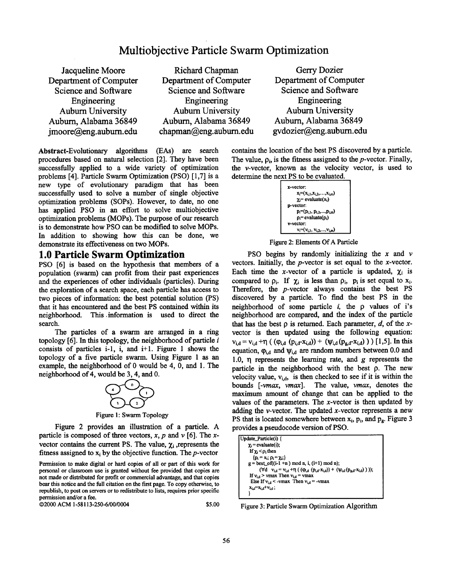# **Multiobjective Particle Swarm Optimization**

Jacqueline Moore Department of Computer Science and Software Engineering Auburn University Auburn, Alabama 36849 jmoore@eng.aubum.edu

Richard Chapman Department of Computer Science and Software Engineering Auburn University Auburn, Alabama 36849 chapman@eng, auburn.edu

Gerry Dozier Department of Computer Science and Software Engineering Auburn University Auburn, Alabama 36849 gvdozier@eng.auburn.edu

Abstract-Evolutionary algorithms (EAs) are search procedures based on natural selection [2]. They have been successfully applied to a wide variety of optimization problems [4]. Particle Swarm Optimization (PSO) [1,7] is a new type of evolutionary paradigm that has been successfully used to solve a number of single objective optimization problems (SOPs). However, to date, no one has applied PSO in an effort to solve multiobjective optimization problems (MOPs). The purpose of our research is to demonstrate how PSO can be modified to solve MOPs. In addition to showing how this can be done, we demonstrate its effectiveness on two MOPs.

### **1.0 Particle Swarm Optimization**

PSO [6] is based on the hypothesis that members of a population (swarm) can profit from their past experiences and the experiences of other individuals (particles). During the exploration of a search space, each particle has access to two pieces of information: the best potential solution (PS) that it has encountered and the best PS contained within its neighborhood. This ,information is used to direct the search.

The particles of a swarm are arranged in a ring topology  $[6]$ . In this topology, the neighborhood of particle  $i$ consists of particles i-l, i, and i+l. Figure 1 shows the topology of a five particle swarm. Using Figure 1 as an example, the neighborhood of 0 would be 4, 0, and 1. The neighborhood of 4, would be 3, 4, and 0.



Figure 1: Swarm Topology

Figure 2 provides an illustration of a particle. A particle is composed of three vectors, x, p and  $\nu$  [6]. The xvector contains the current PS. The value,  $\chi_i$ , represents the fitness assigned to  $x_i$  by the objective function. The *p*-vector

Permission to make digital or hard copies of all or part of this work for personal or classroom use is granted without fee provided that copies are not made or distributed for profit or commercial advantage, and that copies bear this notice and the full citation on the first page. To copy otherwise, to republish, to post on servers or to redistribute to lists, requires prior specific permission and/or a fee.

@2000 ACM 1-58113-250-6/00/0004 \$5.00

contains the location of the best PS discovered by a particle. The value,  $\rho_i$ , is the fitness assigned to the *p*-vector. Finally, the v-vector, known as the velocity vector, is used to determine the next PS to be evaluated.



Figure 2: Elements Of A Particle

PSO begins by randomly initializing the  $x$  and  $v$ vectors. Initially, the p-vector is set equal to the x-vector. Each time the x-vector of a particle is updated,  $\chi_i$  is compared to  $\rho_i$ . If  $\chi_i$  is less than  $\rho_i$ ,  $p_i$  is set equal to  $x_i$ . Therefore, the p-vector always contains the best PS discovered by a particle. To find the best PS in the neighborhood of some particle  $i$ , the  $\rho$  values of i's neighborhood are compared, and the index of the particle that has the best  $\rho$  is returned. Each parameter,  $d$ , of the xvector is then updated using the following equation:  $V_{i,d} = V_{i,d} + \eta$  ( ( $(\varphi_{i,d}$  ( $p_{i,d}-x_{i,d})$ ) + ( $\psi_{i,d}$  ( $p_{g,d}-x_{i,d}$ ))) [1,5]. In this equation,  $\varphi_{id}$  and  $\psi_{id}$  are random numbers between 0.0 and 1.0,  $\eta$  represents the learning rate, and g represents the particle in the neighborhood with the best  $\rho$ . The new velocity value,  $v_{i,d}$ , is then checked to see if it is within the bounds [-vmax, vmax]. The value, vmax, denotes the maximum amount of change that can be applied to the values of the parameters. The  $x$ -vector is then updated by adding the *v*-vector. The updated *x*-vector represents a new PS that is located somewhere between  $x_i$ ,  $p_i$ , and  $p_g$ . Figure 3 provides a pseudocode version of PSO.

| Update_Particle(i) {                                                                                                |
|---------------------------------------------------------------------------------------------------------------------|
| $\gamma_i$ = evaluate(i);                                                                                           |
| If $\chi_i < \rho_i$ then                                                                                           |
| $\{p_i = x_i; p_i = \gamma_i\}$                                                                                     |
| $g = best_of((i-1 + n) mod n, i, (i+1) mod n);$                                                                     |
| $(\forall d \quad v_{i,d} = v_{i,d} + \eta ((\phi_{i,d} (p_{i,d} - x_{i,d})) + (\psi_{i,d} (p_{i,d} - x_{i,d})))$ ; |
| If $v_{i,d}$ > vmax Then $v_{i,d}$ = vmax                                                                           |
| Else If $v_{i,d}$ < -vmax Then $v_{i,d}$ = -vmax                                                                    |
| $x_{i,d} = x_{i,d} + v_{i,d}$ ;                                                                                     |
|                                                                                                                     |
|                                                                                                                     |

Figure 3: Particle Swarm Optimization Algorithm